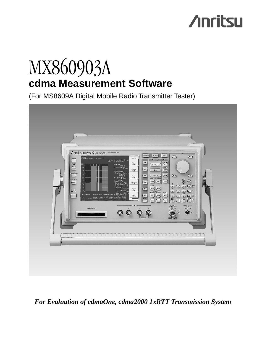# **/inritsu**

## MX860903A **cdma Measurement Software**

(For MS8609A Digital Mobile Radio Transmitter Tester)



### *For Evaluation of cdmaOne, cdma2000 1xRTT Transmission System*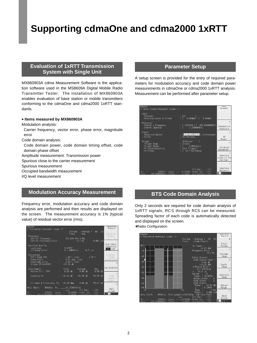## **Supporting cdmaOne and cdma2000 1xRTT**

#### **Evaluation of 1xRTT Transmission COVID Reference Parameter Setup System with Single Unit**

MX860903A cdma Measurement Software is the application software used in the MS8609A Digital Mobile Radio Transmitter Tester. The installation of MX860903A enables evaluation of base station or mobile transmitters conforming to the cdmaOne and cdma2000 1xRTT standards.

#### **• Items measured by MX860903A**

Modulation analysis:

- Carrier frequency, vector error, phase error, magnitude error
- Code domain analysis:
- Code domain power, code domain timing offset, code domain phase offset
- Amplitude measurement: Transmission power
- Spurious close to the carrier measurement
- Spurious measurement
- Occupied bandwidth measurement

I/Q level measurement

#### **Modulation Accuracy Measurement**

Frequency error, modulation accuracy and code domain analysis are performed and then results are displayed on the screen. The measurement accuracy is 1% (typical value) of residual vector error (rms).

| <b>IS8609A</b><br><< Modulation Analysis (cdma) >>                                    |                                                                                    | Modulation<br>Analusis                                              |
|---------------------------------------------------------------------------------------|------------------------------------------------------------------------------------|---------------------------------------------------------------------|
|                                                                                       | Storage<br>: Average (<br>: Non<br>Trace                                           | 101<br>10/<br>Operation                                             |
| Frequency<br>Carrier Frequency<br>Carrier Frequency Error :                           | 887.649 999 3 MHz<br>$-0.7$ Hz                                                     | Trace<br>30<br>$-0.001$ ppm                                         |
| Waveform Quality<br>$\rho$ multi-code<br>$\tau$ (Timing Error)                        | 0.99987<br>$0.71 \text{ }\mu\text{s}$<br>$0 * 64$ PNchip -                         | Auto Rate<br>Detection<br>$On$ Off                                  |
| Modulation<br>RMS & Peak EVM<br>Phase Error<br>Magnitude Error<br>Origin Offset (CFT) | $1.02 \times (rms)$<br>$0.51$ deg. $(rms)$<br>$0.49 \;$ % ( $rms$ )<br>$-45.39$ dB | Display<br>$2.67 \times$<br>flode<br><b>Walsh OVSF</b><br>$\lambda$ |
| Code Domain<br>1CH<br>Active CH (                                                     | Total<br>Average<br>$0.00 \, \text{dB}$<br>$0.00 \, \text{dB}$                     | Calibration<br>Max<br>$0.00 \, \text{dB}$                           |
| Inactive CH                                                                           | $-38.96$ dB<br>$-56.95$ dB                                                         | 3<br>$-54.58$ dB<br>finde<br>Domain<br>Power                        |
| Tx Power & Pilot, Sync CH: -10.94 dBm                                                 | $0.00 \, \text{dB}$                                                                | $-55.87$ dB                                                         |
| Anly Start:<br>0PNchip<br>Ch<br>1092CH<br>Level                                       | Andy Longth: I536PNchip<br>Pre Ampl<br>Low<br>$-20.00c$ Bm<br>Power Cal            | Back<br>$:$ Off<br>Screen<br>$0f$ f                                 |
| 007                                                                                   | $0$ ffeat<br>$Q$ $Q$ $Q$ $Q$ $Q$ $Q$<br>Correction                                 | 25<br>$0 + 4$                                                       |

A setup screen is provided for the entry of required parameters for modulation accuracy and code domain power measurements in cdmaOne or cdma2000 1xRTT analysis. Measurement can be performed after parameter setup.



#### **BTS Code Domain Analysis**

Only 2 seconds are required for code domain analysis of 1xRTT signals, RC<sup>∗</sup> 1 through RC5 can be measured. Spreading factor of each code is automatically detected and displayed on the screen.

∗Radio Configuration

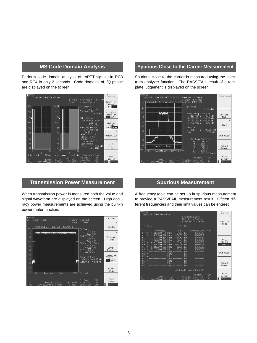#### **MS Code Domain Analysis**

Perform code domain analysis of 1xRTT signals in RC3 and RC4 in only 2 seconds. Code domains of I/Q phase are displayed on the screen.



#### **Transmission Power Measurement**

When transmission power is measured both the value and signal waveform are displayed on the screen. High accuracy power measurements are achieved using the built-in power meter function.



#### **Spurious Close to the Carrier Measurement**

Spurious close to the carrier is measured using the spectrum analyzer function. The PASS/FAIL result of a template judgement is displayed on the screen.



#### **Spurious Measurement**

A frequency table can be set up in spurious measurement to provide a PASS/FAIL measurement result. Fifteen different frequencies and their limit values can be entered.

| <b>IS8609A</b>                                                                                                                                     | << Spurious Emission (cdma) >>                                                                                                                                                                                        |                                                                                                                                                                                                                                                         |                           |                                                                                      |                             | Spunious<br>Emission                                         |
|----------------------------------------------------------------------------------------------------------------------------------------------------|-----------------------------------------------------------------------------------------------------------------------------------------------------------------------------------------------------------------------|---------------------------------------------------------------------------------------------------------------------------------------------------------------------------------------------------------------------------------------------------------|---------------------------|--------------------------------------------------------------------------------------|-----------------------------|--------------------------------------------------------------|
|                                                                                                                                                    |                                                                                                                                                                                                                       |                                                                                                                                                                                                                                                         | Spurious : Spot<br>Detect | : Average<br>Preselector : Normal                                                    |                             | $*$<br>Spurious<br>Mode                                      |
| Ref Pouer                                                                                                                                          |                                                                                                                                                                                                                       | g.                                                                                                                                                                                                                                                      | $-5.01$ dBm               |                                                                                      |                             |                                                              |
| Е<br>$\mathcal{P}$<br>E<br>$\mathcal{R}$<br>Е<br>4<br>Ξ<br>5<br>Ξ<br>6<br>Е<br>$\equiv$<br>$8 =$<br>q<br>Ŧ<br>f10<br>f11<br>f12<br>f13<br>Е<br>f14 | Frequency<br>600,000 000 MHz:<br>2 400,000 000 MHz:<br>3 200,000 000 NHz:<br>$4.000.000.000.000.11 + 7.5$<br>4 800 000<br>5 600,000 000 NHz:<br>6 400,000<br>7 200.000 000 MHz:<br>----------------<br>-------------- | Level<br>$-57.63$ dBm<br>$-71.53$ dBm<br>$-67.82$ dBm<br>$-76.37$ dBm<br>000 NHz:<br>$-75.42$ dBm<br>$-79.29$ dBm<br>000 MHz:<br>$-80.59$ dBm<br>$-80.43$ dBm<br>NHz:<br>    フ: --------<br>图 --------<br>MHz<br>MHz: -------- dBm<br>MHz: -------- dBm | dBm<br>dBm<br>dBm<br>dBm  | Judgement (Relative)<br>PASS<br>PASS<br>PASS<br>PASS<br>PASS<br>PASS<br>PASS<br>PASS |                             | View<br>BW. SWT<br>Judgement<br>$*$<br>Calibration<br>Adjust |
| $f15 =$                                                                                                                                            |                                                                                                                                                                                                                       | ----------- MHz: -------- dBm                                                                                                                                                                                                                           |                           |                                                                                      |                             | Range                                                        |
|                                                                                                                                                    |                                                                                                                                                                                                                       |                                                                                                                                                                                                                                                         |                           | Total Judgement : PASS                                                               |                             | د                                                            |
| Ch                                                                                                                                                 | 10920H                                                                                                                                                                                                                | Level.                                                                                                                                                                                                                                                  | $-8.00$ dBm               | Pre Ampl<br>Power Cal                                                                | $·$ $0$ ff<br>$:$ Off       | Back<br>Screen                                               |
| Frea                                                                                                                                               | SOO AAAAAOAHZ                                                                                                                                                                                                         | Offset                                                                                                                                                                                                                                                  | A. AABCB                  | Correction                                                                           | $\cdot$ $\bigcap_{i=1}^{n}$ | 23                                                           |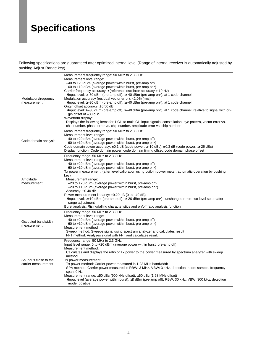### **Specifications**

Following specifications are guaranteed after optimized internal level (Range of internal receiver is automatically adjusted by pushing Adjust Range key).

| Modulation/frequency<br>measurement          | Measurement frequency range: 50 MHz to 2.3 GHz<br>Measurement level range:<br>$-40$ to $+20$ dBm (average power within burst, pre-amp off)<br>-60 to +10 dBm (average power within burst, pre-amp on-1)<br>Carrier frequency accuracy: $\pm$ (reference oscillator accuracy + 10 Hz)<br>*Input level: $\geq$ -30 dBm (pre-amp off), $\geq$ -40 dBm (pre-amp on $\cdot$ ), at 1 code channel<br>Modulation accuracy (residual vector error): <2.0% (rms)<br>*lnput level: $\geq$ -30 dBm (pre-amp off), $\geq$ -40 dBm (pre-amp on $\cdot$ ), at 1 code channel<br>Origin offset accuracy: $\pm 0.50$ dB<br>*Input level: ≥-30 dBm (pre-amp off), ≥-40 dBm (pre-amp on <sup></sup> ), at 1 code channel, relative to signal with ori-<br>gin offset of -30 dBc<br>Waveform display:<br>Displays the following items for 1 CH to multi CH input signals; constellation, eye pattern, vector error vs.<br>chip number, phase error vs. chip number, amplitude error vs. chip number |
|----------------------------------------------|----------------------------------------------------------------------------------------------------------------------------------------------------------------------------------------------------------------------------------------------------------------------------------------------------------------------------------------------------------------------------------------------------------------------------------------------------------------------------------------------------------------------------------------------------------------------------------------------------------------------------------------------------------------------------------------------------------------------------------------------------------------------------------------------------------------------------------------------------------------------------------------------------------------------------------------------------------------------------------|
| Code domain analysis                         | Measurement frequency range: 50 MHz to 2.3 GHz<br>Measurement level range:<br>-40 to +20 dBm (average power within burst, pre-amp off)<br>$-60$ to $+10$ dBm (average power within burst, pre-amp on-1)<br>Code domain power accuracy: $\pm 0.1$ dB (code power: $\geq -10$ dBc), $\pm 0.3$ dB (code power: $\geq -25$ dBc)<br>Display function: Code domain power, code domain timing offset, code domain phase offset                                                                                                                                                                                                                                                                                                                                                                                                                                                                                                                                                          |
| Amplitude<br>measurement                     | Frequency range: 50 MHz to 2.3 GHz<br>Measurement level range<br>$-40$ to $+20$ dBm (average power within burst, pre-amp off)<br>$-60$ to $+10$ dBm (average power within burst, pre-amp on-<br>Tx power measurement: (after level calibration using built-in power meter, automatic operation by pushing<br>key)<br>Measurement range:<br>-20 to +20 dBm (average power within burst, pre-amp off)<br>$-20$ to $+10$ dBm (average power within burst, pre-amp on <sup>-1</sup> )<br>Accuracy: $\pm 0.40$ dB<br>Power measurement linearity: $\pm 0.20$ dB (0 to -40 dB)<br>*Input level: ≥+10 dBm (pre-amp off), ≥–20 dBm (pre-amp on <sup>-1</sup> ), unchanged reference level setup after<br>range adjustment<br>Burst analysis: Rising/falling characteristics and on/off ratio analysis function                                                                                                                                                                           |
| Occupied bandwidth<br>measurement            | Frequency range: 50 MHz to 2.3 GHz<br>Measurement level range:<br>$-40$ to $+20$ dBm (average power within burst, pre-amp off)<br>$-60$ to $+10$ dBm (average power within burst, pre-amp on <sup>-1</sup> )<br>Measurement method<br>Sweep method: Sweeps signal using spectrum analyzer and calculates result<br>FFT method: Analyzes signal with FFT and calculates result                                                                                                                                                                                                                                                                                                                                                                                                                                                                                                                                                                                                    |
| Spurious close to the<br>carrier measurement | Frequency range: 50 MHz to 2.3 GHz<br>Input level range: 0 to $+20$ dBm (average power within burst, pre-amp off)<br>Measurement method:<br>Calculates and displays the ratio of Tx power to the power measured by spectrum analyzer with sweep<br>method<br>Tx power measurement<br>Tx power method: Carrier power measured in 1.23 MHz bandwidth<br>SPA method: Carrier power measured in RBW: 3 MHz, VBW: 3 kHz, detection mode: sample, frequency<br>span: 0 Hz<br>Measurement range: ≥50 dBc (900 kHz offset), ≥60 dBc (1.98 MHz offset)<br>*Input level (average power within burst): ≥0 dBm (pre-amp off), RBW: 30 kHz, VBW: 300 kHz, detection<br>mode: positive                                                                                                                                                                                                                                                                                                         |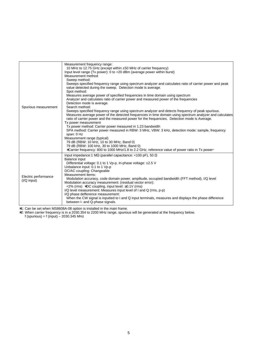| Spurious measurement                  | Measurement frequency range:<br>10 MHz to 12.75 GHz (except within ±50 MHz of carrier frequency)<br>Input level range (Tx power): 0 to +20 dBm (average power within burst)<br>Measurement method<br>Sweep method:<br>Sweeps specified frequency range using spectrum analyzer and calculates ratio of carrier power and peak<br>value detected during the sweep. Detection mode is average.<br>Spot method:<br>Measures average power of specified frequencies in time domain using spectrum<br>Analyzer and calculates ratio of carrier power and measured power of the frequencies<br>Detection mode is average.<br>Search method:<br>Sweeps specified frequency range using spectrum analyzer and detects frequency of peak spurious.<br>Measures average power of the detected frequencies in time domain using spectrum analyzer and calculates |
|---------------------------------------|-------------------------------------------------------------------------------------------------------------------------------------------------------------------------------------------------------------------------------------------------------------------------------------------------------------------------------------------------------------------------------------------------------------------------------------------------------------------------------------------------------------------------------------------------------------------------------------------------------------------------------------------------------------------------------------------------------------------------------------------------------------------------------------------------------------------------------------------------------|
|                                       | ratio of carrier power and the measured power for the frequencies. Detection mode is Average.<br>Tx power measurement<br>Tx power method: Carrier power measured in 1.23 bandwidth<br>SPA method: Carrier power measured in RBW: 3 MHz, VBW: 3 kHz, detection mode: sample, frequency<br>span: 0 Hz<br>Measurement range (typical)<br>79 dB (RBW: 10 kHz, 10 to 30 MHz, Band 0)<br>79 dB (RBW: 100 kHz, 30 to 1000 MHz, Band 0)<br>*Carrier frequency: 800 to 1000 MHz/1.8 to 2.2 GHz, reference value of power ratio in Tx power                                                                                                                                                                                                                                                                                                                     |
| Electric performance<br>$(I/Q$ input) | Input impedance: 1 M $\Omega$ (parallel capacitance: <100 pF), 50 $\Omega$<br>Balance input<br>Differential voltage: 0.1 to 1 Vp-p, In-phase voltage: ±2.5 V<br>Unbalance input: 0.1 to 1 Vp-p<br>DC/AC coupling: Changeable<br>Measurement items:<br>Modulation accuracy, code domain power, amplitude, occupied bandwidth (FFT method), I/Q level<br>Modulation accuracy measurement: (residual vector error):<br><2% (rms) *DC coupling, input level: $\geq$ 0.1V (rms)<br>I/Q level measurement: Measures input level of I and Q (rms, p-p)<br>I/Q phase defference measurement:<br>When the CW signal is inputted to I and Q input terminals, measures and displays the phase difference<br>between I- and Q-phase signals.                                                                                                                      |

∗1: Can be set when MS8608A-08 option is installed in the main frame.

∗2: When carrier frequency is in a 2030.354 to 2200 MHz range, spurious will be generated at the frequency below.

f (spurious) = f (input) – 2030.345 MHz